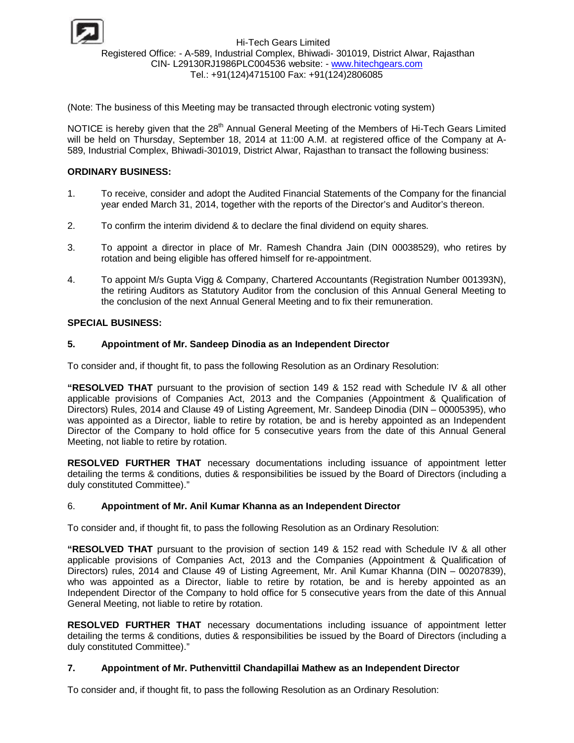

Hi-Tech Gears Limited Registered Office: - A-589, Industrial Complex, Bhiwadi- 301019, District Alwar, Rajasthan CIN- L29130RJ1986PLC004536 website: - www.hitechgears.com Tel.: +91(124)4715100 Fax: +91(124)2806085

(Note: The business of this Meeting may be transacted through electronic voting system)

NOTICE is hereby given that the 28<sup>th</sup> Annual General Meeting of the Members of Hi-Tech Gears Limited will be held on Thursday, September 18, 2014 at 11:00 A.M. at registered office of the Company at A-589, Industrial Complex, Bhiwadi-301019, District Alwar, Rajasthan to transact the following business:

## **ORDINARY BUSINESS:**

- 1. To receive, consider and adopt the Audited Financial Statements of the Company for the financial year ended March 31, 2014, together with the reports of the Director's and Auditor's thereon.
- 2. To confirm the interim dividend & to declare the final dividend on equity shares.
- 3. To appoint a director in place of Mr. Ramesh Chandra Jain (DIN 00038529), who retires by rotation and being eligible has offered himself for re-appointment.
- 4. To appoint M/s Gupta Vigg & Company, Chartered Accountants (Registration Number 001393N), the retiring Auditors as Statutory Auditor from the conclusion of this Annual General Meeting to the conclusion of the next Annual General Meeting and to fix their remuneration.

## **SPECIAL BUSINESS:**

## **5. Appointment of Mr. Sandeep Dinodia as an Independent Director**

To consider and, if thought fit, to pass the following Resolution as an Ordinary Resolution:

**"RESOLVED THAT** pursuant to the provision of section 149 & 152 read with Schedule IV & all other applicable provisions of Companies Act, 2013 and the Companies (Appointment & Qualification of Directors) Rules, 2014 and Clause 49 of Listing Agreement, Mr. Sandeep Dinodia (DIN – 00005395), who was appointed as a Director, liable to retire by rotation, be and is hereby appointed as an Independent Director of the Company to hold office for 5 consecutive years from the date of this Annual General Meeting, not liable to retire by rotation.

**RESOLVED FURTHER THAT** necessary documentations including issuance of appointment letter detailing the terms & conditions, duties & responsibilities be issued by the Board of Directors (including a duly constituted Committee)."

### 6. **Appointment of Mr. Anil Kumar Khanna as an Independent Director**

To consider and, if thought fit, to pass the following Resolution as an Ordinary Resolution:

**"RESOLVED THAT** pursuant to the provision of section 149 & 152 read with Schedule IV & all other applicable provisions of Companies Act, 2013 and the Companies (Appointment & Qualification of Directors) rules, 2014 and Clause 49 of Listing Agreement, Mr. Anil Kumar Khanna (DIN – 00207839), who was appointed as a Director, liable to retire by rotation, be and is hereby appointed as an Independent Director of the Company to hold office for 5 consecutive years from the date of this Annual General Meeting, not liable to retire by rotation.

**RESOLVED FURTHER THAT** necessary documentations including issuance of appointment letter detailing the terms & conditions, duties & responsibilities be issued by the Board of Directors (including a duly constituted Committee)."

### **7. Appointment of Mr. Puthenvittil Chandapillai Mathew as an Independent Director**

To consider and, if thought fit, to pass the following Resolution as an Ordinary Resolution: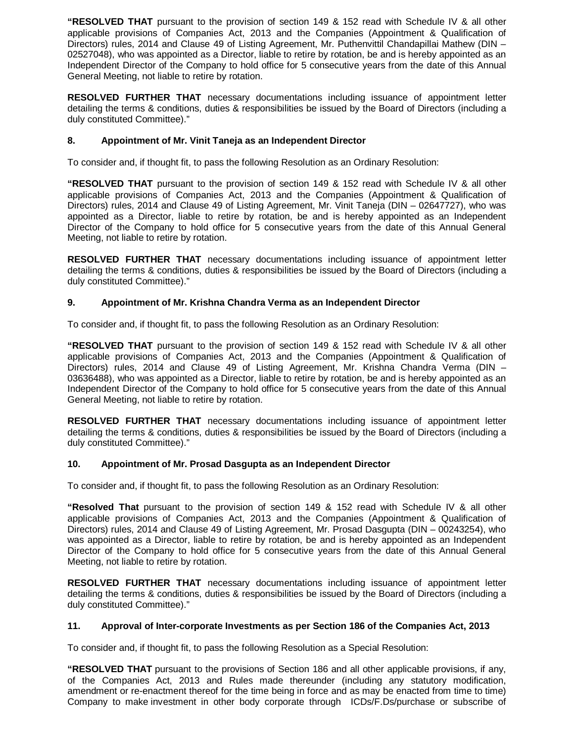**"RESOLVED THAT** pursuant to the provision of section 149 & 152 read with Schedule IV & all other applicable provisions of Companies Act, 2013 and the Companies (Appointment & Qualification of Directors) rules, 2014 and Clause 49 of Listing Agreement, Mr. Puthenvittil Chandapillai Mathew (DIN – 02527048), who was appointed as a Director, liable to retire by rotation, be and is hereby appointed as an Independent Director of the Company to hold office for 5 consecutive years from the date of this Annual General Meeting, not liable to retire by rotation.

**RESOLVED FURTHER THAT** necessary documentations including issuance of appointment letter detailing the terms & conditions, duties & responsibilities be issued by the Board of Directors (including a duly constituted Committee)."

# **8. Appointment of Mr. Vinit Taneja as an Independent Director**

To consider and, if thought fit, to pass the following Resolution as an Ordinary Resolution:

**"RESOLVED THAT** pursuant to the provision of section 149 & 152 read with Schedule IV & all other applicable provisions of Companies Act, 2013 and the Companies (Appointment & Qualification of Directors) rules, 2014 and Clause 49 of Listing Agreement, Mr. Vinit Taneja (DIN – 02647727), who was appointed as a Director, liable to retire by rotation, be and is hereby appointed as an Independent Director of the Company to hold office for 5 consecutive years from the date of this Annual General Meeting, not liable to retire by rotation.

**RESOLVED FURTHER THAT** necessary documentations including issuance of appointment letter detailing the terms & conditions, duties & responsibilities be issued by the Board of Directors (including a duly constituted Committee)."

## **9. Appointment of Mr. Krishna Chandra Verma as an Independent Director**

To consider and, if thought fit, to pass the following Resolution as an Ordinary Resolution:

**"RESOLVED THAT** pursuant to the provision of section 149 & 152 read with Schedule IV & all other applicable provisions of Companies Act, 2013 and the Companies (Appointment & Qualification of Directors) rules, 2014 and Clause 49 of Listing Agreement, Mr. Krishna Chandra Verma (DIN – 03636488), who was appointed as a Director, liable to retire by rotation, be and is hereby appointed as an Independent Director of the Company to hold office for 5 consecutive years from the date of this Annual General Meeting, not liable to retire by rotation.

**RESOLVED FURTHER THAT** necessary documentations including issuance of appointment letter detailing the terms & conditions, duties & responsibilities be issued by the Board of Directors (including a duly constituted Committee)."

### **10. Appointment of Mr. Prosad Dasgupta as an Independent Director**

To consider and, if thought fit, to pass the following Resolution as an Ordinary Resolution:

**"Resolved That** pursuant to the provision of section 149 & 152 read with Schedule IV & all other applicable provisions of Companies Act, 2013 and the Companies (Appointment & Qualification of Directors) rules, 2014 and Clause 49 of Listing Agreement, Mr. Prosad Dasgupta (DIN – 00243254), who was appointed as a Director, liable to retire by rotation, be and is hereby appointed as an Independent Director of the Company to hold office for 5 consecutive years from the date of this Annual General Meeting, not liable to retire by rotation.

**RESOLVED FURTHER THAT** necessary documentations including issuance of appointment letter detailing the terms & conditions, duties & responsibilities be issued by the Board of Directors (including a duly constituted Committee)."

### **11. Approval of Inter-corporate Investments as per Section 186 of the Companies Act, 2013**

To consider and, if thought fit, to pass the following Resolution as a Special Resolution:

**"RESOLVED THAT** pursuant to the provisions of Section 186 and all other applicable provisions, if any, of the Companies Act, 2013 and Rules made thereunder (including any statutory modification, amendment or re-enactment thereof for the time being in force and as may be enacted from time to time) Company to make investment in other body corporate through ICDs/F.Ds/purchase or subscribe of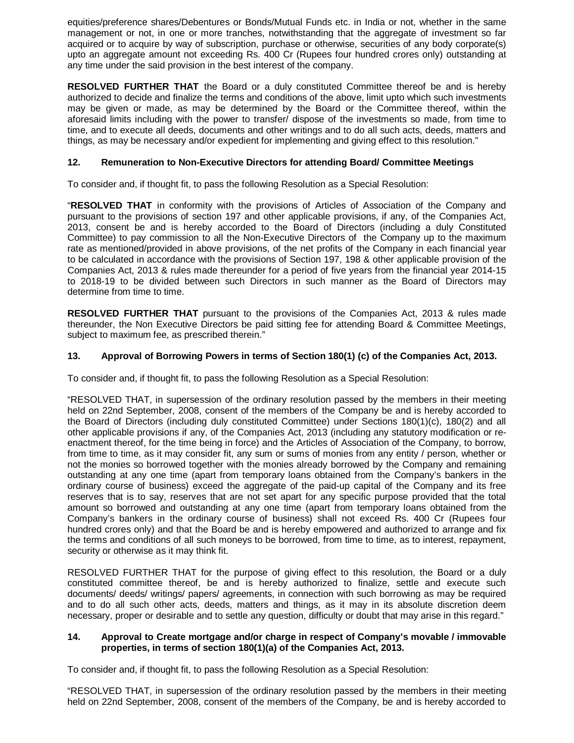equities/preference shares/Debentures or Bonds/Mutual Funds etc. in India or not, whether in the same management or not, in one or more tranches, notwithstanding that the aggregate of investment so far acquired or to acquire by way of subscription, purchase or otherwise, securities of any body corporate(s) upto an aggregate amount not exceeding Rs. 400 Cr (Rupees four hundred crores only) outstanding at any time under the said provision in the best interest of the company.

**RESOLVED FURTHER THAT** the Board or a duly constituted Committee thereof be and is hereby authorized to decide and finalize the terms and conditions of the above, limit upto which such investments may be given or made, as may be determined by the Board or the Committee thereof, within the aforesaid limits including with the power to transfer/ dispose of the investments so made, from time to time, and to execute all deeds, documents and other writings and to do all such acts, deeds, matters and things, as may be necessary and/or expedient for implementing and giving effect to this resolution."

# **12. Remuneration to Non-Executive Directors for attending Board/ Committee Meetings**

To consider and, if thought fit, to pass the following Resolution as a Special Resolution:

"**RESOLVED THAT** in conformity with the provisions of Articles of Association of the Company and pursuant to the provisions of section 197 and other applicable provisions, if any, of the Companies Act, 2013, consent be and is hereby accorded to the Board of Directors (including a duly Constituted Committee) to pay commission to all the Non-Executive Directors of the Company up to the maximum rate as mentioned/provided in above provisions, of the net profits of the Company in each financial year to be calculated in accordance with the provisions of Section 197, 198 & other applicable provision of the Companies Act, 2013 & rules made thereunder for a period of five years from the financial year 2014-15 to 2018-19 to be divided between such Directors in such manner as the Board of Directors may determine from time to time.

**RESOLVED FURTHER THAT** pursuant to the provisions of the Companies Act, 2013 & rules made thereunder, the Non Executive Directors be paid sitting fee for attending Board & Committee Meetings, subject to maximum fee, as prescribed therein."

# **13. Approval of Borrowing Powers in terms of Section 180(1) (c) of the Companies Act, 2013.**

To consider and, if thought fit, to pass the following Resolution as a Special Resolution:

"RESOLVED THAT, in supersession of the ordinary resolution passed by the members in their meeting held on 22nd September, 2008, consent of the members of the Company be and is hereby accorded to the Board of Directors (including duly constituted Committee) under Sections 180(1)(c), 180(2) and all other applicable provisions if any, of the Companies Act, 2013 (including any statutory modification or reenactment thereof, for the time being in force) and the Articles of Association of the Company, to borrow, from time to time, as it may consider fit, any sum or sums of monies from any entity / person, whether or not the monies so borrowed together with the monies already borrowed by the Company and remaining outstanding at any one time (apart from temporary loans obtained from the Company's bankers in the ordinary course of business) exceed the aggregate of the paid-up capital of the Company and its free reserves that is to say, reserves that are not set apart for any specific purpose provided that the total amount so borrowed and outstanding at any one time (apart from temporary loans obtained from the Company's bankers in the ordinary course of business) shall not exceed Rs. 400 Cr (Rupees four hundred crores only) and that the Board be and is hereby empowered and authorized to arrange and fix the terms and conditions of all such moneys to be borrowed, from time to time, as to interest, repayment, security or otherwise as it may think fit.

RESOLVED FURTHER THAT for the purpose of giving effect to this resolution, the Board or a duly constituted committee thereof, be and is hereby authorized to finalize, settle and execute such documents/ deeds/ writings/ papers/ agreements, in connection with such borrowing as may be required and to do all such other acts, deeds, matters and things, as it may in its absolute discretion deem necessary, proper or desirable and to settle any question, difficulty or doubt that may arise in this regard."

## **14. Approval to Create mortgage and/or charge in respect of Company's movable / immovable properties, in terms of section 180(1)(a) of the Companies Act, 2013.**

To consider and, if thought fit, to pass the following Resolution as a Special Resolution:

"RESOLVED THAT, in supersession of the ordinary resolution passed by the members in their meeting held on 22nd September, 2008, consent of the members of the Company, be and is hereby accorded to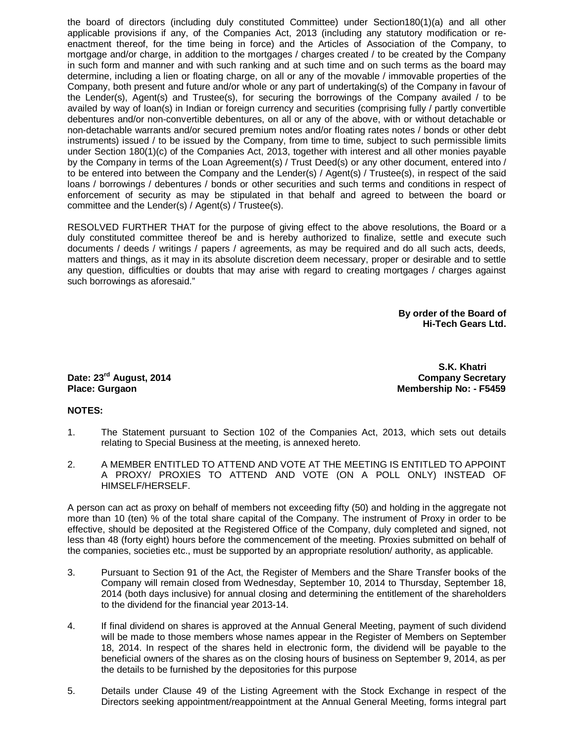the board of directors (including duly constituted Committee) under Section180(1)(a) and all other applicable provisions if any, of the Companies Act, 2013 (including any statutory modification or reenactment thereof, for the time being in force) and the Articles of Association of the Company, to mortgage and/or charge, in addition to the mortgages / charges created / to be created by the Company in such form and manner and with such ranking and at such time and on such terms as the board may determine, including a lien or floating charge, on all or any of the movable / immovable properties of the Company, both present and future and/or whole or any part of undertaking(s) of the Company in favour of the Lender(s), Agent(s) and Trustee(s), for securing the borrowings of the Company availed / to be availed by way of loan(s) in Indian or foreign currency and securities (comprising fully / partly convertible debentures and/or non-convertible debentures, on all or any of the above, with or without detachable or non-detachable warrants and/or secured premium notes and/or floating rates notes / bonds or other debt instruments) issued / to be issued by the Company, from time to time, subject to such permissible limits under Section 180(1)(c) of the Companies Act, 2013, together with interest and all other monies payable by the Company in terms of the Loan Agreement(s) / Trust Deed(s) or any other document, entered into / to be entered into between the Company and the Lender(s) / Agent(s) / Trustee(s), in respect of the said loans / borrowings / debentures / bonds or other securities and such terms and conditions in respect of enforcement of security as may be stipulated in that behalf and agreed to between the board or committee and the Lender(s) / Agent(s) / Trustee(s).

RESOLVED FURTHER THAT for the purpose of giving effect to the above resolutions, the Board or a duly constituted committee thereof be and is hereby authorized to finalize, settle and execute such documents / deeds / writings / papers / agreements, as may be required and do all such acts, deeds, matters and things, as it may in its absolute discretion deem necessary, proper or desirable and to settle any question, difficulties or doubts that may arise with regard to creating mortgages / charges against such borrowings as aforesaid."

> **By order of the Board of Hi-Tech Gears Ltd.**

 **S.K. Khatri Date: 23<sup>rd</sup> August, 2014** Company Secretary **Place: Gurgaon Membership No: - F5459** 

### **NOTES:**

- 1. The Statement pursuant to Section 102 of the Companies Act, 2013, which sets out details relating to Special Business at the meeting, is annexed hereto.
- 2. A MEMBER ENTITLED TO ATTEND AND VOTE AT THE MEETING IS ENTITLED TO APPOINT A PROXY/ PROXIES TO ATTEND AND VOTE (ON A POLL ONLY) INSTEAD OF HIMSELF/HERSELF.

A person can act as proxy on behalf of members not exceeding fifty (50) and holding in the aggregate not more than 10 (ten) % of the total share capital of the Company. The instrument of Proxy in order to be effective, should be deposited at the Registered Office of the Company, duly completed and signed, not less than 48 (forty eight) hours before the commencement of the meeting. Proxies submitted on behalf of the companies, societies etc., must be supported by an appropriate resolution/ authority, as applicable.

- 3. Pursuant to Section 91 of the Act, the Register of Members and the Share Transfer books of the Company will remain closed from Wednesday, September 10, 2014 to Thursday, September 18, 2014 (both days inclusive) for annual closing and determining the entitlement of the shareholders to the dividend for the financial year 2013-14.
- 4. If final dividend on shares is approved at the Annual General Meeting, payment of such dividend will be made to those members whose names appear in the Register of Members on September 18, 2014. In respect of the shares held in electronic form, the dividend will be payable to the beneficial owners of the shares as on the closing hours of business on September 9, 2014, as per the details to be furnished by the depositories for this purpose
- 5. Details under Clause 49 of the Listing Agreement with the Stock Exchange in respect of the Directors seeking appointment/reappointment at the Annual General Meeting, forms integral part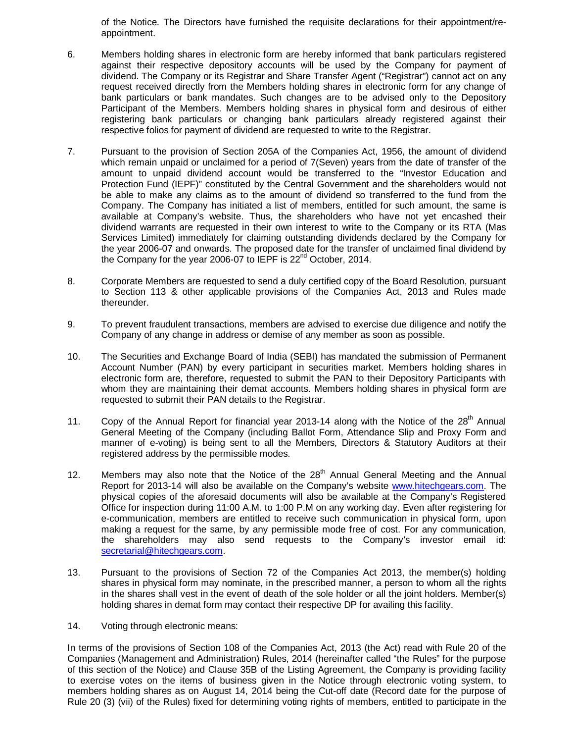of the Notice. The Directors have furnished the requisite declarations for their appointment/reappointment.

- 6. Members holding shares in electronic form are hereby informed that bank particulars registered against their respective depository accounts will be used by the Company for payment of dividend. The Company or its Registrar and Share Transfer Agent ("Registrar") cannot act on any request received directly from the Members holding shares in electronic form for any change of bank particulars or bank mandates. Such changes are to be advised only to the Depository Participant of the Members. Members holding shares in physical form and desirous of either registering bank particulars or changing bank particulars already registered against their respective folios for payment of dividend are requested to write to the Registrar.
- 7. Pursuant to the provision of Section 205A of the Companies Act, 1956, the amount of dividend which remain unpaid or unclaimed for a period of 7(Seven) years from the date of transfer of the amount to unpaid dividend account would be transferred to the "Investor Education and Protection Fund (IEPF)" constituted by the Central Government and the shareholders would not be able to make any claims as to the amount of dividend so transferred to the fund from the Company. The Company has initiated a list of members, entitled for such amount, the same is available at Company's website. Thus, the shareholders who have not yet encashed their dividend warrants are requested in their own interest to write to the Company or its RTA (Mas Services Limited) immediately for claiming outstanding dividends declared by the Company for the year 2006-07 and onwards. The proposed date for the transfer of unclaimed final dividend by the Company for the year 2006-07 to IEPF is  $22<sup>nd</sup>$  October, 2014.
- 8. Corporate Members are requested to send a duly certified copy of the Board Resolution, pursuant to Section 113 & other applicable provisions of the Companies Act, 2013 and Rules made thereunder.
- 9. To prevent fraudulent transactions, members are advised to exercise due diligence and notify the Company of any change in address or demise of any member as soon as possible.
- 10. The Securities and Exchange Board of India (SEBI) has mandated the submission of Permanent Account Number (PAN) by every participant in securities market. Members holding shares in electronic form are, therefore, requested to submit the PAN to their Depository Participants with whom they are maintaining their demat accounts. Members holding shares in physical form are requested to submit their PAN details to the Registrar.
- 11. Copy of the Annual Report for financial year 2013-14 along with the Notice of the 28<sup>th</sup> Annual General Meeting of the Company (including Ballot Form, Attendance Slip and Proxy Form and manner of e-voting) is being sent to all the Members, Directors & Statutory Auditors at their registered address by the permissible modes.
- 12. Members may also note that the Notice of the  $28<sup>th</sup>$  Annual General Meeting and the Annual Report for 2013-14 will also be available on the Company's website www.hitechgears.com. The physical copies of the aforesaid documents will also be available at the Company's Registered Office for inspection during 11:00 A.M. to 1:00 P.M on any working day. Even after registering for e-communication, members are entitled to receive such communication in physical form, upon making a request for the same, by any permissible mode free of cost. For any communication, the shareholders may also send requests to the Company's investor email id: secretarial@hitechgears.com.
- 13. Pursuant to the provisions of Section 72 of the Companies Act 2013, the member(s) holding shares in physical form may nominate, in the prescribed manner, a person to whom all the rights in the shares shall vest in the event of death of the sole holder or all the joint holders. Member(s) holding shares in demat form may contact their respective DP for availing this facility.
- 14. Voting through electronic means:

In terms of the provisions of Section 108 of the Companies Act, 2013 (the Act) read with Rule 20 of the Companies (Management and Administration) Rules, 2014 (hereinafter called "the Rules" for the purpose of this section of the Notice) and Clause 35B of the Listing Agreement, the Company is providing facility to exercise votes on the items of business given in the Notice through electronic voting system, to members holding shares as on August 14, 2014 being the Cut-off date (Record date for the purpose of Rule 20 (3) (vii) of the Rules) fixed for determining voting rights of members, entitled to participate in the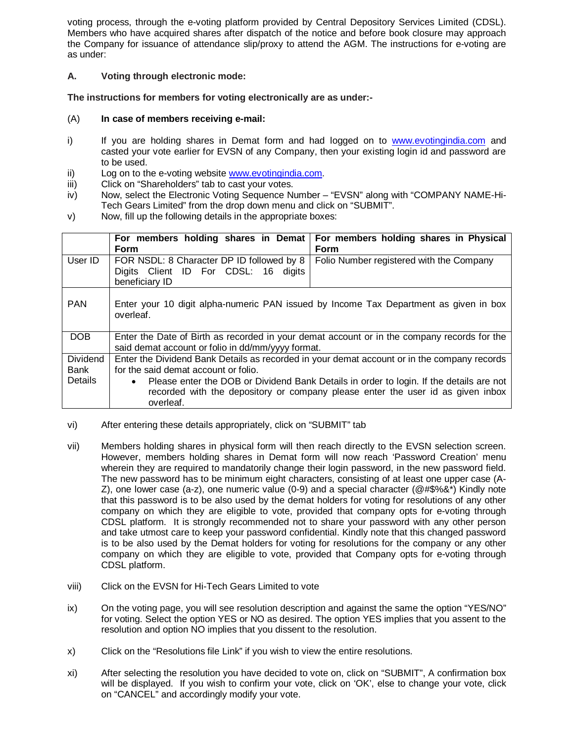voting process, through the e-voting platform provided by Central Depository Services Limited (CDSL). Members who have acquired shares after dispatch of the notice and before book closure may approach the Company for issuance of attendance slip/proxy to attend the AGM. The instructions for e-voting are as under:

# **A. Voting through electronic mode:**

**The instructions for members for voting electronically are as under:-**

## (A) **In case of members receiving e-mail:**

- i) If you are holding shares in Demat form and had logged on to www.evotingindia.com and casted your vote earlier for EVSN of any Company, then your existing login id and password are to be used.
- ii) Log on to the e-voting website www.evotingindia.com.
- iii) Click on "Shareholders" tab to cast your votes.
- iv) Now, select the Electronic Voting Sequence Number "EVSN" along with "COMPANY NAME-Hi-Tech Gears Limited" from the drop down menu and click on "SUBMIT".
- v) Now, fill up the following details in the appropriate boxes:

|                 | For members holding shares in Demat                                                                  | For members holding shares in Physical                                                |  |
|-----------------|------------------------------------------------------------------------------------------------------|---------------------------------------------------------------------------------------|--|
|                 | <b>Form</b>                                                                                          | <b>Form</b>                                                                           |  |
| User ID         | FOR NSDL: 8 Character DP ID followed by 8                                                            | Folio Number registered with the Company                                              |  |
|                 | Digits Client ID For CDSL: 16 digits                                                                 |                                                                                       |  |
|                 | beneficiary ID                                                                                       |                                                                                       |  |
|                 |                                                                                                      |                                                                                       |  |
| <b>PAN</b>      |                                                                                                      | Enter your 10 digit alpha-numeric PAN issued by Income Tax Department as given in box |  |
|                 | overleaf.                                                                                            |                                                                                       |  |
|                 |                                                                                                      |                                                                                       |  |
| <b>DOB</b>      | Enter the Date of Birth as recorded in your demat account or in the company records for the          |                                                                                       |  |
|                 | said demat account or folio in dd/mm/yyyy format.                                                    |                                                                                       |  |
| <b>Dividend</b> | Enter the Dividend Bank Details as recorded in your demat account or in the company records          |                                                                                       |  |
| Bank            | for the said demat account or folio.                                                                 |                                                                                       |  |
| <b>Details</b>  | Please enter the DOB or Dividend Bank Details in order to login. If the details are not<br>$\bullet$ |                                                                                       |  |
|                 | recorded with the depository or company please enter the user id as given inbox                      |                                                                                       |  |
|                 | overleaf.                                                                                            |                                                                                       |  |

- vi) After entering these details appropriately, click on "SUBMIT" tab
- vii) Members holding shares in physical form will then reach directly to the EVSN selection screen. However, members holding shares in Demat form will now reach 'Password Creation' menu wherein they are required to mandatorily change their login password, in the new password field. The new password has to be minimum eight characters, consisting of at least one upper case (A-Z), one lower case (a-z), one numeric value (0-9) and a special character ( $@#\$$ %&\*) Kindly note that this password is to be also used by the demat holders for voting for resolutions of any other company on which they are eligible to vote, provided that company opts for e-voting through CDSL platform. It is strongly recommended not to share your password with any other person and take utmost care to keep your password confidential. Kindly note that this changed password is to be also used by the Demat holders for voting for resolutions for the company or any other company on which they are eligible to vote, provided that Company opts for e-voting through CDSL platform.
- viii) Click on the EVSN for Hi-Tech Gears Limited to vote
- ix) On the voting page, you will see resolution description and against the same the option "YES/NO" for voting. Select the option YES or NO as desired. The option YES implies that you assent to the resolution and option NO implies that you dissent to the resolution.
- x) Click on the "Resolutions file Link" if you wish to view the entire resolutions.
- xi) After selecting the resolution you have decided to vote on, click on "SUBMIT", A confirmation box will be displayed. If you wish to confirm your vote, click on 'OK', else to change your vote, click on "CANCEL" and accordingly modify your vote.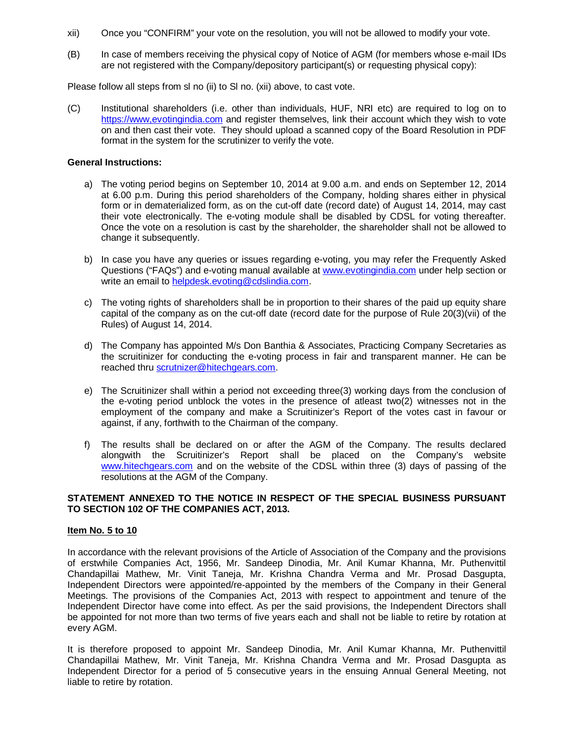- xii) Once you "CONFIRM" your vote on the resolution, you will not be allowed to modify your vote.
- (B) In case of members receiving the physical copy of Notice of AGM (for members whose e-mail IDs are not registered with the Company/depository participant(s) or requesting physical copy):

Please follow all steps from sl no (ii) to Sl no. (xii) above, to cast vote.

(C) Institutional shareholders (i.e. other than individuals, HUF, NRI etc) are required to log on to https://www,evotingindia.com and register themselves, link their account which they wish to vote on and then cast their vote. They should upload a scanned copy of the Board Resolution in PDF format in the system for the scrutinizer to verify the vote.

#### **General Instructions:**

- a) The voting period begins on September 10, 2014 at 9.00 a.m. and ends on September 12, 2014 at 6.00 p.m. During this period shareholders of the Company, holding shares either in physical form or in dematerialized form, as on the cut-off date (record date) of August 14, 2014, may cast their vote electronically. The e-voting module shall be disabled by CDSL for voting thereafter. Once the vote on a resolution is cast by the shareholder, the shareholder shall not be allowed to change it subsequently.
- b) In case you have any queries or issues regarding e-voting, you may refer the Frequently Asked Questions ("FAQs") and e-voting manual available at www.evotingindia.com under help section or write an email to helpdesk.evoting@cdslindia.com.
- c) The voting rights of shareholders shall be in proportion to their shares of the paid up equity share capital of the company as on the cut-off date (record date for the purpose of Rule 20(3)(vii) of the Rules) of August 14, 2014.
- d) The Company has appointed M/s Don Banthia & Associates, Practicing Company Secretaries as the scruitinizer for conducting the e-voting process in fair and transparent manner. He can be reached thru scrutnizer@hitechgears.com.
- e) The Scruitinizer shall within a period not exceeding three(3) working days from the conclusion of the e-voting period unblock the votes in the presence of atleast two(2) witnesses not in the employment of the company and make a Scruitinizer's Report of the votes cast in favour or against, if any, forthwith to the Chairman of the company.
- f) The results shall be declared on or after the AGM of the Company. The results declared alongwith the Scruitinizer's Report shall be placed on the Company's website www.hitechgears.com and on the website of the CDSL within three (3) days of passing of the resolutions at the AGM of the Company.

### **STATEMENT ANNEXED TO THE NOTICE IN RESPECT OF THE SPECIAL BUSINESS PURSUANT TO SECTION 102 OF THE COMPANIES ACT, 2013.**

### **Item No. 5 to 10**

In accordance with the relevant provisions of the Article of Association of the Company and the provisions of erstwhile Companies Act, 1956, Mr. Sandeep Dinodia, Mr. Anil Kumar Khanna, Mr. Puthenvittil Chandapillai Mathew, Mr. Vinit Taneja, Mr. Krishna Chandra Verma and Mr. Prosad Dasgupta, Independent Directors were appointed/re-appointed by the members of the Company in their General Meetings. The provisions of the Companies Act, 2013 with respect to appointment and tenure of the Independent Director have come into effect. As per the said provisions, the Independent Directors shall be appointed for not more than two terms of five years each and shall not be liable to retire by rotation at every AGM.

It is therefore proposed to appoint Mr. Sandeep Dinodia, Mr. Anil Kumar Khanna, Mr. Puthenvittil Chandapillai Mathew, Mr. Vinit Taneja, Mr. Krishna Chandra Verma and Mr. Prosad Dasgupta as Independent Director for a period of 5 consecutive years in the ensuing Annual General Meeting, not liable to retire by rotation.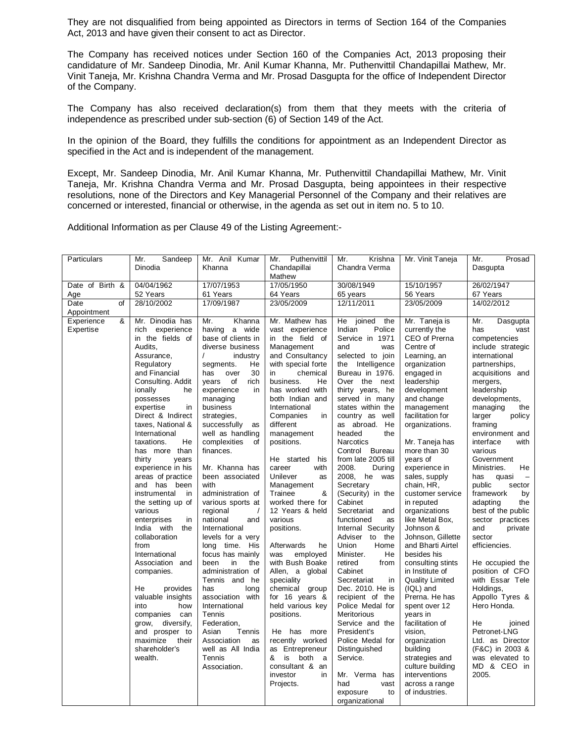They are not disqualified from being appointed as Directors in terms of Section 164 of the Companies Act, 2013 and have given their consent to act as Director.

The Company has received notices under Section 160 of the Companies Act, 2013 proposing their candidature of Mr. Sandeep Dinodia, Mr. Anil Kumar Khanna, Mr. Puthenvittil Chandapillai Mathew, Mr. Vinit Taneja, Mr. Krishna Chandra Verma and Mr. Prosad Dasgupta for the office of Independent Director of the Company.

The Company has also received declaration(s) from them that they meets with the criteria of independence as prescribed under sub-section (6) of Section 149 of the Act.

In the opinion of the Board, they fulfills the conditions for appointment as an Independent Director as specified in the Act and is independent of the management.

Except, Mr. Sandeep Dinodia, Mr. Anil Kumar Khanna, Mr. Puthenvittil Chandapillai Mathew, Mr. Vinit Taneja, Mr. Krishna Chandra Verma and Mr. Prosad Dasgupta, being appointees in their respective resolutions, none of the Directors and Key Managerial Personnel of the Company and their relatives are concerned or interested, financial or otherwise, in the agenda as set out in item no. 5 to 10.

Additional Information as per Clause 49 of the Listing Agreement:-

| Particulars     | Mr.<br>Sandeep                         | Mr. Anil Kumar                          | Puthenvittil<br>Mr.                | Mr.<br>Krishna                         | Mr. Vinit Taneja                 | Mr.<br>Prosad                          |
|-----------------|----------------------------------------|-----------------------------------------|------------------------------------|----------------------------------------|----------------------------------|----------------------------------------|
|                 | Dinodia                                | Khanna                                  | Chandapillai<br>Mathew             | Chandra Verma                          |                                  | Dasqupta                               |
| Date of Birth & | 04/04/1962                             | 17/07/1953                              | 17/05/1950                         | 30/08/1949                             | 15/10/1957                       | 26/02/1947                             |
| Age             | 52 Years                               | 61 Years                                | 64 Years                           | 65 years                               | 56 Years                         | 67 Years                               |
| Date<br>of      | 28/10/2002                             | 17/09/1987                              | 23/05/2009                         | 12/11/2011                             | 23/05/2009                       | 14/02/2012                             |
| Appointment     |                                        |                                         |                                    |                                        |                                  |                                        |
| &<br>Experience | Mr. Dinodia has                        | Khanna<br>Mr.                           | Mr. Mathew has                     | He<br>joined<br>the                    | Mr. Taneja is                    | Mr.<br>Dasgupta                        |
| Expertise       | experience<br>rich<br>in the fields of | having a wide<br>base of clients in     | vast experience<br>in the field of | Indian<br>Police<br>Service in 1971    | currently the<br>CEO of Prerna   | has<br>vast                            |
|                 | Audits,                                | diverse business                        | Management                         | and<br>was                             | Centre of                        | competencies<br>include strategic      |
|                 | Assurance,                             | $\prime$<br>industry                    | and Consultancy                    | selected to join                       | Learning, an                     | international                          |
|                 | Regulatory                             | segments.<br>He                         | with special forte                 | Intelligence<br>the                    | organization                     | partnerships,                          |
|                 | and Financial                          | has<br>over<br>30                       | chemical<br>in                     | Bureau in 1976.                        | engaged in                       | acquisitions and                       |
|                 | Consulting. Addit                      | years<br>of<br>rich                     | business.<br>He                    | Over the next                          | leadership                       | mergers,                               |
|                 | ionally<br>he                          | experience<br>in                        | has worked with                    | thirty years, he                       | development                      | leadership                             |
|                 | possesses                              | managing                                | both Indian and                    | served in many                         | and change                       | developments,                          |
|                 | expertise<br>in                        | business                                | International                      | states within the                      | management                       | managing<br>the                        |
|                 | Direct & Indirect                      | strategies,                             | Companies<br>in                    | country as<br>well                     | facilitation for                 | larger<br>policy                       |
|                 | taxes, National &<br>International     | successfully<br>as<br>well as handling  | different<br>management            | as abroad.<br>He<br>headed<br>the      | organizations.                   | framing<br>environment and             |
|                 | taxations.<br>He                       | complexities<br>of                      | positions.                         | <b>Narcotics</b>                       | Mr. Taneja has                   | interface<br>with                      |
|                 | has more than                          | finances.                               |                                    | Control Bureau                         | more than 30                     | various                                |
|                 | thirty<br>years                        |                                         | He started<br>his                  | from late 2005 till                    | years of                         | Government                             |
|                 | experience in his                      | Mr. Khanna has                          | with<br>career                     | 2008.<br>During                        | experience in                    | Ministries.<br>He                      |
|                 | areas of practice                      | been associated                         | Unilever<br>as                     | 2008, he was                           | sales, supply                    | quasi<br>has<br>$\qquad \qquad -$      |
|                 | and has been                           | with                                    | Management                         | Secretary                              | chain, HR,                       | public<br>sector                       |
|                 | instrumental<br>in                     | administration of                       | Trainee<br>&                       | (Security) in the                      | customer service                 | framework<br>by                        |
|                 | the setting up of                      | various sports at                       | worked there for                   | Cabinet                                | in reputed                       | adapting<br>the                        |
|                 | various<br>enterprises<br>in           | regional<br>$\prime$<br>national<br>and | 12 Years & held<br>various         | Secretariat<br>and<br>functioned<br>as | organizations<br>like Metal Box, | best of the public<br>sector practices |
|                 | India with<br>the                      | International                           | positions.                         | Internal Security                      | Johnson &                        | and<br>private                         |
|                 | collaboration                          | levels for a very                       |                                    | Adviser to<br>the                      | Johnson, Gillette                | sector                                 |
|                 | from                                   | long time. His                          | Afterwards<br>he                   | Union<br>Home                          | and Bharti Airtel                | efficiencies.                          |
|                 | International                          | focus has mainly                        | employed<br>was                    | Minister.<br>He                        | besides his                      |                                        |
|                 | Association and                        | been<br>in<br>the                       | with Bush Boake                    | retired<br>from                        | consulting stints                | He occupied the                        |
|                 | companies.                             | administration of                       | Allen, a global                    | Cabinet                                | in Institute of                  | position of CFO                        |
|                 |                                        | Tennis and he                           | speciality                         | Secretariat<br>in                      | <b>Quality Limited</b>           | with Essar Tele                        |
|                 | He<br>provides<br>valuable insights    | has<br>long<br>association with         | chemical group<br>for 16 years &   | Dec. 2010. He is<br>recipient of the   | (IQL) and<br>Prerna. He has      | Holdings,<br>Appollo Tyres &           |
|                 | into<br>how                            | International                           | held various key                   | Police Medal for                       | spent over 12                    | Hero Honda.                            |
|                 | companies<br>can                       | Tennis                                  | positions.                         | <b>Meritorious</b>                     | years in                         |                                        |
|                 | grow,<br>diversify,                    | Federation,                             |                                    | Service and the                        | facilitation of                  | He<br>joined                           |
|                 | and prosper to                         | Asian<br>Tennis                         | He has more                        | President's                            | vision.                          | Petronet-LNG                           |
|                 | maximize<br>their                      | Association<br>as                       | recently worked                    | Police Medal for                       | organization                     | Ltd. as Director                       |
|                 | shareholder's                          | well as All India                       | as Entrepreneur                    | Distinguished                          | building                         | (F&C) in 2003 &                        |
|                 | wealth.                                | Tennis                                  | is<br>both<br>&<br>a               | Service.                               | strategies and                   | was elevated to                        |
|                 |                                        | Association.                            | consultant & an                    |                                        | culture building                 | MD & CEO in                            |
|                 |                                        |                                         | investor<br>in                     | Mr. Verma has                          | interventions                    | 2005.                                  |
|                 |                                        |                                         | Projects.                          | had<br>vast<br>exposure<br>to          | across a range<br>of industries. |                                        |
|                 |                                        |                                         |                                    | organizational                         |                                  |                                        |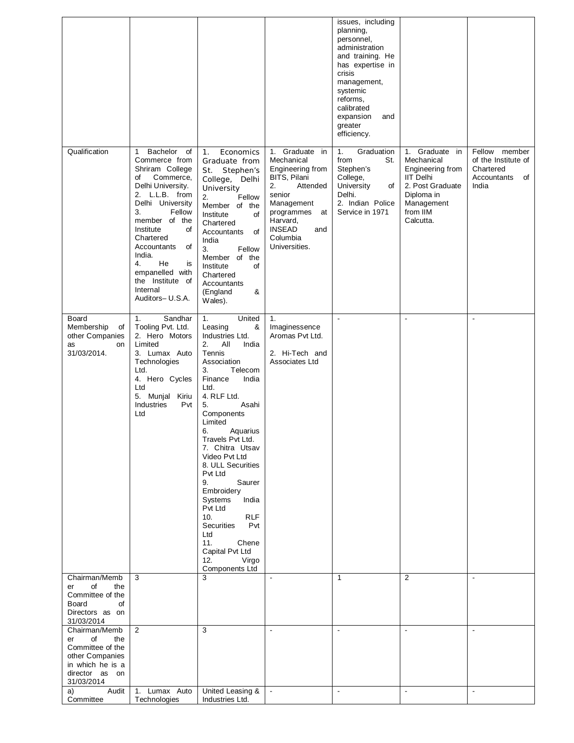|                                                                                                                             |                                                                                                                                                                                                                                                                                                                                          |                                                                                                                                                                                                                                                                                                                                                                                                                                                                                                        |                                                                                                                                                                                                    | issues, including<br>planning,<br>personnel,<br>administration<br>and training. He<br>has expertise in<br>crisis<br>management,<br>systemic<br>reforms,<br>calibrated<br>expansion<br>and<br>greater<br>efficiency. |                                                                                                                                                  |                                                                                 |
|-----------------------------------------------------------------------------------------------------------------------------|------------------------------------------------------------------------------------------------------------------------------------------------------------------------------------------------------------------------------------------------------------------------------------------------------------------------------------------|--------------------------------------------------------------------------------------------------------------------------------------------------------------------------------------------------------------------------------------------------------------------------------------------------------------------------------------------------------------------------------------------------------------------------------------------------------------------------------------------------------|----------------------------------------------------------------------------------------------------------------------------------------------------------------------------------------------------|---------------------------------------------------------------------------------------------------------------------------------------------------------------------------------------------------------------------|--------------------------------------------------------------------------------------------------------------------------------------------------|---------------------------------------------------------------------------------|
| Qualification                                                                                                               | Bachelor<br>of<br>$\mathbf 1$<br>Commerce from<br>Shriram College<br>of<br>Commerce,<br>Delhi University.<br>2. L.L.B. from<br>Delhi University<br>3.<br>Fellow<br>member of the<br>Institute<br>of<br>Chartered<br>of<br>Accountants<br>India.<br>He<br>4.<br>is<br>empanelled with<br>the Institute of<br>Internal<br>Auditors- U.S.A. | Economics<br>1.<br>Graduate from<br>Stephen's<br>St.<br>College, Delhi<br>University<br>Fellow<br>2.<br>Member of the<br>Institute<br>of<br>Chartered<br>of<br>Accountants<br>India<br>3.<br>Fellow<br>Member of the<br>Institute<br>of<br>Chartered<br>Accountants<br>&<br>(England<br>Wales).                                                                                                                                                                                                        | Graduate in<br>1.<br>Mechanical<br>Engineering from<br>BITS, Pilani<br>2.<br>Attended<br>senior<br>Management<br>programmes<br>at<br>Harvard,<br><b>INSEAD</b><br>and<br>Columbia<br>Universities. | Graduation<br>1.<br>from<br>St.<br>Stephen's<br>College,<br><b>University</b><br>of<br>Delhi.<br>2. Indian Police<br>Service in 1971                                                                                | Graduate in<br>1.<br>Mechanical<br>Engineering from<br><b>IIT Delhi</b><br>2. Post Graduate<br>Diploma in<br>Management<br>from IIM<br>Calcutta. | Fellow member<br>of the Institute of<br>Chartered<br>Accountants<br>of<br>India |
| Board<br>Membership<br>οf<br>other Companies<br>as<br><b>on</b><br>31/03/2014.                                              | Sandhar<br>1.<br>Tooling Pvt. Ltd.<br>2. Hero Motors<br>Limited<br>3. Lumax Auto<br>Technologies<br>Ltd.<br>4. Hero Cycles<br>Ltd<br>5. Munjal Kiriu<br>Industries<br>Pvt<br>Ltd                                                                                                                                                         | United<br>1.<br>&<br>Leasing<br>Industries Ltd.<br>2.<br>All<br>India<br>Tennis<br>Association<br>3.<br>Telecom<br>Finance<br>India<br>Ltd.<br>4. RLF Ltd.<br>Asahi<br>5.<br>Components<br>Limited<br>6.<br>Aquarius<br>Travels Pvt Ltd.<br>7. Chitra Utsav<br>Video Pvt Ltd<br>8. ULL Securities<br>Pvt Ltd<br>9.<br>Saurer<br>Embroidery<br>Systems<br>India<br>Pvt Ltd<br><b>RLF</b><br>10.<br><b>Securities</b><br>Pvt<br>Ltd<br>11.<br>Chene<br>Capital Pvt Ltd<br>12.<br>Virgo<br>Components Ltd | 1.<br>Imaginessence<br>Aromas Pvt Ltd.<br>2. Hi-Tech and<br>Associates Ltd                                                                                                                         | $\blacksquare$                                                                                                                                                                                                      | $\blacksquare$                                                                                                                                   | $\blacksquare$                                                                  |
| Chairman/Memb<br>of<br>the<br>er<br>Committee of the<br>Board<br>of<br>Directors as on<br>31/03/2014                        | 3                                                                                                                                                                                                                                                                                                                                        | 3                                                                                                                                                                                                                                                                                                                                                                                                                                                                                                      | $\mathbf{r}$                                                                                                                                                                                       | $\mathbf{1}$                                                                                                                                                                                                        | 2                                                                                                                                                | $\blacksquare$                                                                  |
| Chairman/Memb<br>of<br>the<br>er<br>Committee of the<br>other Companies<br>in which he is a<br>director as on<br>31/03/2014 | $\overline{2}$                                                                                                                                                                                                                                                                                                                           | 3                                                                                                                                                                                                                                                                                                                                                                                                                                                                                                      |                                                                                                                                                                                                    |                                                                                                                                                                                                                     |                                                                                                                                                  |                                                                                 |
| Audit<br>a)<br>Committee                                                                                                    | 1. Lumax Auto<br>Technologies                                                                                                                                                                                                                                                                                                            | United Leasing &<br>Industries Ltd.                                                                                                                                                                                                                                                                                                                                                                                                                                                                    |                                                                                                                                                                                                    | $\blacksquare$                                                                                                                                                                                                      | $\mathbf{r}$                                                                                                                                     | $\blacksquare$                                                                  |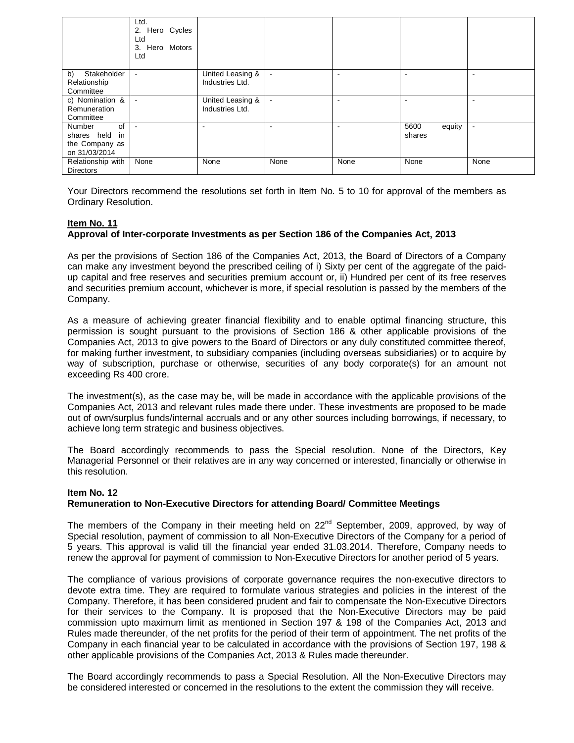|                                                                   | Ltd.<br>2. Hero Cycles<br>Ltd<br>3. Hero Motors<br>Ltd |                                     |                |                          |                          |                |
|-------------------------------------------------------------------|--------------------------------------------------------|-------------------------------------|----------------|--------------------------|--------------------------|----------------|
| b)<br>Stakeholder<br>Relationship<br>Committee                    | $\blacksquare$                                         | United Leasing &<br>Industries Ltd. | $\blacksquare$ |                          | $\overline{\phantom{a}}$ |                |
| c) Nomination &<br>Remuneration<br>Committee                      | $\overline{\phantom{a}}$                               | United Leasing &<br>Industries Ltd. | $\blacksquare$ | $\overline{\phantom{0}}$ | ۰                        |                |
| of<br>Number<br>shares held in<br>the Company as<br>on 31/03/2014 | $\overline{\phantom{a}}$                               | ۰                                   |                |                          | equity<br>5600<br>shares | $\blacksquare$ |
| Relationship with<br><b>Directors</b>                             | None                                                   | None                                | None           | None                     | None                     | None           |

Your Directors recommend the resolutions set forth in Item No. 5 to 10 for approval of the members as Ordinary Resolution.

#### **Item No. 11 Approval of Inter-corporate Investments as per Section 186 of the Companies Act, 2013**

As per the provisions of Section 186 of the Companies Act, 2013, the Board of Directors of a Company can make any investment beyond the prescribed ceiling of i) Sixty per cent of the aggregate of the paidup capital and free reserves and securities premium account or, ii) Hundred per cent of its free reserves and securities premium account, whichever is more, if special resolution is passed by the members of the Company.

As a measure of achieving greater financial flexibility and to enable optimal financing structure, this permission is sought pursuant to the provisions of Section 186 & other applicable provisions of the Companies Act, 2013 to give powers to the Board of Directors or any duly constituted committee thereof, for making further investment, to subsidiary companies (including overseas subsidiaries) or to acquire by way of subscription, purchase or otherwise, securities of any body corporate(s) for an amount not exceeding Rs 400 crore.

The investment(s), as the case may be, will be made in accordance with the applicable provisions of the Companies Act, 2013 and relevant rules made there under. These investments are proposed to be made out of own/surplus funds/internal accruals and or any other sources including borrowings, if necessary, to achieve long term strategic and business objectives.

The Board accordingly recommends to pass the Special resolution. None of the Directors, Key Managerial Personnel or their relatives are in any way concerned or interested, financially or otherwise in this resolution.

#### **Item No. 12 Remuneration to Non-Executive Directors for attending Board/ Committee Meetings**

The members of the Company in their meeting held on 22<sup>nd</sup> September, 2009, approved, by way of Special resolution, payment of commission to all Non-Executive Directors of the Company for a period of 5 years. This approval is valid till the financial year ended 31.03.2014. Therefore, Company needs to renew the approval for payment of commission to Non-Executive Directors for another period of 5 years.

The compliance of various provisions of corporate governance requires the non-executive directors to devote extra time. They are required to formulate various strategies and policies in the interest of the Company. Therefore, it has been considered prudent and fair to compensate the Non-Executive Directors for their services to the Company. It is proposed that the Non-Executive Directors may be paid commission upto maximum limit as mentioned in Section 197 & 198 of the Companies Act, 2013 and Rules made thereunder, of the net profits for the period of their term of appointment. The net profits of the Company in each financial year to be calculated in accordance with the provisions of Section 197, 198 & other applicable provisions of the Companies Act, 2013 & Rules made thereunder.

The Board accordingly recommends to pass a Special Resolution. All the Non-Executive Directors may be considered interested or concerned in the resolutions to the extent the commission they will receive.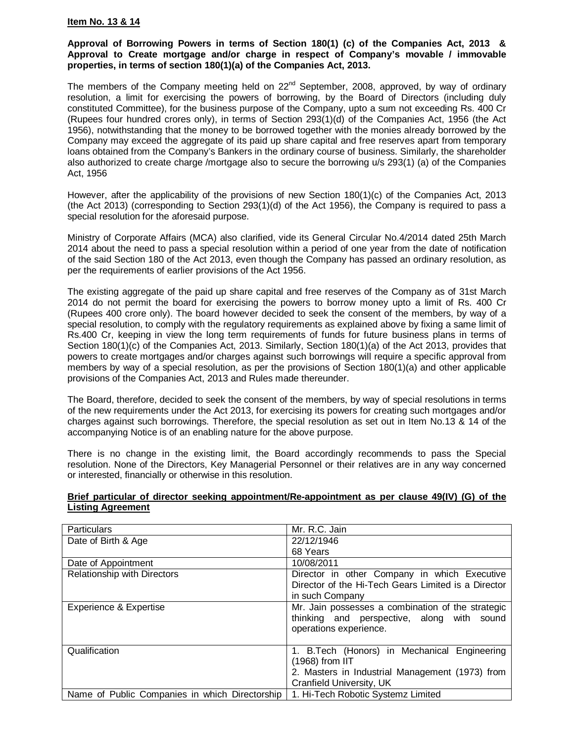### **Item No. 13 & 14**

### **Approval of Borrowing Powers in terms of Section 180(1) (c) of the Companies Act, 2013 & Approval to Create mortgage and/or charge in respect of Company's movable / immovable properties, in terms of section 180(1)(a) of the Companies Act, 2013.**

The members of the Company meeting held on  $22<sup>nd</sup>$  September, 2008, approved, by way of ordinary resolution, a limit for exercising the powers of borrowing, by the Board of Directors (including duly constituted Committee), for the business purpose of the Company, upto a sum not exceeding Rs. 400 Cr (Rupees four hundred crores only), in terms of Section 293(1)(d) of the Companies Act, 1956 (the Act 1956), notwithstanding that the money to be borrowed together with the monies already borrowed by the Company may exceed the aggregate of its paid up share capital and free reserves apart from temporary loans obtained from the Company's Bankers in the ordinary course of business. Similarly, the shareholder also authorized to create charge /mortgage also to secure the borrowing u/s 293(1) (a) of the Companies Act, 1956

However, after the applicability of the provisions of new Section 180(1)(c) of the Companies Act, 2013 (the Act 2013) (corresponding to Section 293(1)(d) of the Act 1956), the Company is required to pass a special resolution for the aforesaid purpose.

Ministry of Corporate Affairs (MCA) also clarified, vide its General Circular No.4/2014 dated 25th March 2014 about the need to pass a special resolution within a period of one year from the date of notification of the said Section 180 of the Act 2013, even though the Company has passed an ordinary resolution, as per the requirements of earlier provisions of the Act 1956.

The existing aggregate of the paid up share capital and free reserves of the Company as of 31st March 2014 do not permit the board for exercising the powers to borrow money upto a limit of Rs. 400 Cr (Rupees 400 crore only). The board however decided to seek the consent of the members, by way of a special resolution, to comply with the regulatory requirements as explained above by fixing a same limit of Rs.400 Cr, keeping in view the long term requirements of funds for future business plans in terms of Section 180(1)(c) of the Companies Act, 2013. Similarly, Section 180(1)(a) of the Act 2013, provides that powers to create mortgages and/or charges against such borrowings will require a specific approval from members by way of a special resolution, as per the provisions of Section 180(1)(a) and other applicable provisions of the Companies Act, 2013 and Rules made thereunder.

The Board, therefore, decided to seek the consent of the members, by way of special resolutions in terms of the new requirements under the Act 2013, for exercising its powers for creating such mortgages and/or charges against such borrowings. Therefore, the special resolution as set out in Item No.13 & 14 of the accompanying Notice is of an enabling nature for the above purpose.

There is no change in the existing limit, the Board accordingly recommends to pass the Special resolution. None of the Directors, Key Managerial Personnel or their relatives are in any way concerned or interested, financially or otherwise in this resolution.

## **Brief particular of director seeking appointment/Re-appointment as per clause 49(IV) (G) of the Listing Agreement**

| Particulars                                    | Mr. R.C. Jain                                       |
|------------------------------------------------|-----------------------------------------------------|
| Date of Birth & Age                            | 22/12/1946                                          |
|                                                | 68 Years                                            |
| Date of Appointment                            | 10/08/2011                                          |
| <b>Relationship with Directors</b>             | Director in other Company in which Executive        |
|                                                | Director of the Hi-Tech Gears Limited is a Director |
|                                                | in such Company                                     |
| <b>Experience &amp; Expertise</b>              | Mr. Jain possesses a combination of the strategic   |
|                                                | thinking and perspective, along with sound          |
|                                                | operations experience.                              |
|                                                |                                                     |
| Qualification                                  | 1. B. Tech (Honors) in Mechanical Engineering       |
|                                                | $(1968)$ from IIT                                   |
|                                                | 2. Masters in Industrial Management (1973) from     |
|                                                | Cranfield University, UK                            |
| Name of Public Companies in which Directorship | 1. Hi-Tech Robotic Systemz Limited                  |